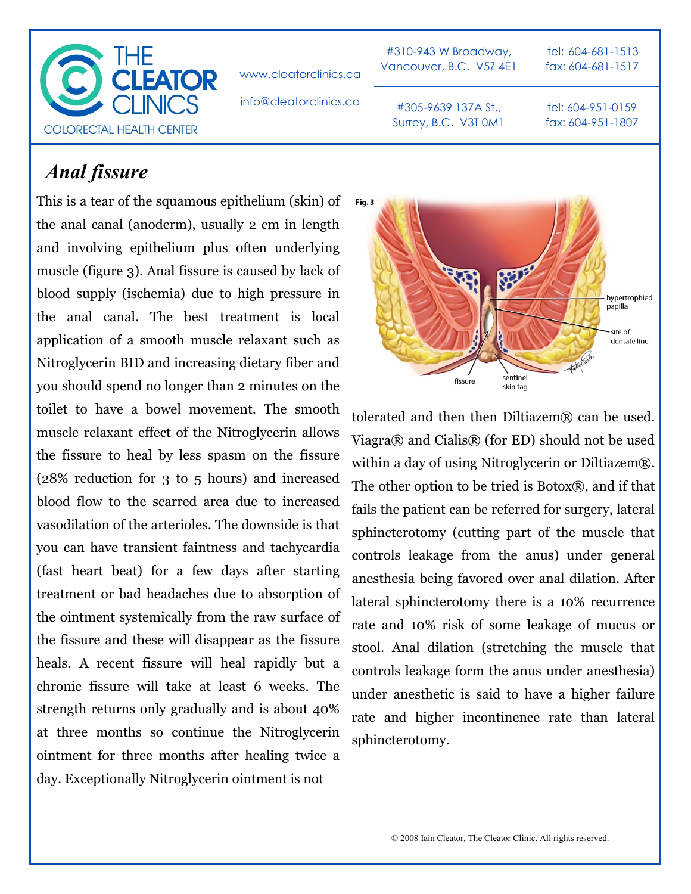

www.cleatorclinics.ca

#310-943 W Broadway, Vancouver, B.C. V5Z 4E1

tel: 604-681-1513 fax: 604-681-1517

info@cleatorclinics.ca

#305-9639 137A St., Surrey, B.C. V3T 0M1

## *Anal fissure*

This is a tear of the squamous epithelium (skin) of the anal canal (anoderm), usually 2 cm in length and involving epithelium plus often underlying muscle (figure 3). Anal fissure is caused by lack of blood supply (ischemia) due to high pressure in the anal canal. The best treatment is local application of a smooth muscle relaxant such as Nitroglycerin BID and increasing dietary fiber and you should spend no longer than 2 minutes on the toilet to have a bowel movement. The smooth muscle relaxant effect of the Nitroglycerin allows the fissure to heal by less spasm on the fissure (28% reduction for 3 to 5 hours) and increased blood flow to the scarred area due to increased vasodilation of the arterioles. The downside is that you can have transient faintness and tachycardia (fast heart beat) for a few days after starting treatment or bad headaches due to absorption of the ointment systemically from the raw surface of the fissure and these will disappear as the fissure heals. A recent fissure will heal rapidly but a chronic fissure will take at least 6 weeks. The strength returns only gradually and is about 40% at three months so continue the Nitroglycerin ointment for three months after healing twice a day. Exceptionally Nitroglycerin ointment is not



tolerated and then then Diltiazem $\mathbb{R}$  can be used. Viagra® and Cialis® (for ED) should not be used within a day of using Nitroglycerin or Diltiazem®. The other option to be tried is  $Botox(\mathbb{R})$ , and if that fails the patient can be referred for surgery, lateral sphincterotomy (cutting part of the muscle that controls leakage from the anus) under general anesthesia being favored over anal dilation. After lateral sphincterotomy there is a 10% recurrence rate and 10% risk of some leakage of mucus or stool. Anal dilation (stretching the muscle that controls leakage form the anus under anesthesia) under anesthetic is said to have a higher failure rate and higher incontinence rate than lateral sphincterotomy.